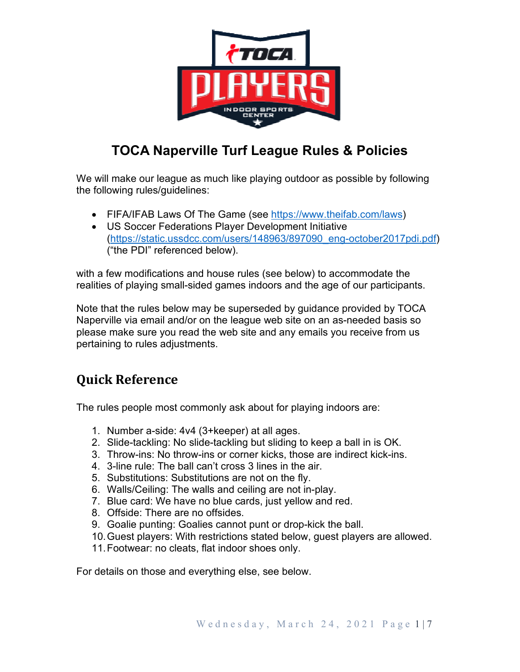

# **TOCA Naperville Turf League Rules & Policies**

We will make our league as much like playing outdoor as possible by following the following rules/guidelines:

- FIFA/IFAB Laws Of The Game (see https://www.theifab.com/laws)
- US Soccer Federations Player Development Initiative (https://static.ussdcc.com/users/148963/897090\_eng-october2017pdi.pdf) ("the PDI" referenced below).

with a few modifications and house rules (see below) to accommodate the realities of playing small-sided games indoors and the age of our participants.

Note that the rules below may be superseded by guidance provided by TOCA Naperville via email and/or on the league web site on an as-needed basis so please make sure you read the web site and any emails you receive from us pertaining to rules adjustments.

# **Quick Reference**

The rules people most commonly ask about for playing indoors are:

- 1. Number a-side: 4v4 (3+keeper) at all ages.
- 2. Slide-tackling: No slide-tackling but sliding to keep a ball in is OK.
- 3. Throw-ins: No throw-ins or corner kicks, those are indirect kick-ins.
- 4. 3-line rule: The ball can't cross 3 lines in the air.
- 5. Substitutions: Substitutions are not on the fly.
- 6. Walls/Ceiling: The walls and ceiling are not in-play.
- 7. Blue card: We have no blue cards, just yellow and red.
- 8. Offside: There are no offsides.
- 9. Goalie punting: Goalies cannot punt or drop-kick the ball.
- 10. Guest players: With restrictions stated below, guest players are allowed.
- 11. Footwear: no cleats, flat indoor shoes only.

For details on those and everything else, see below.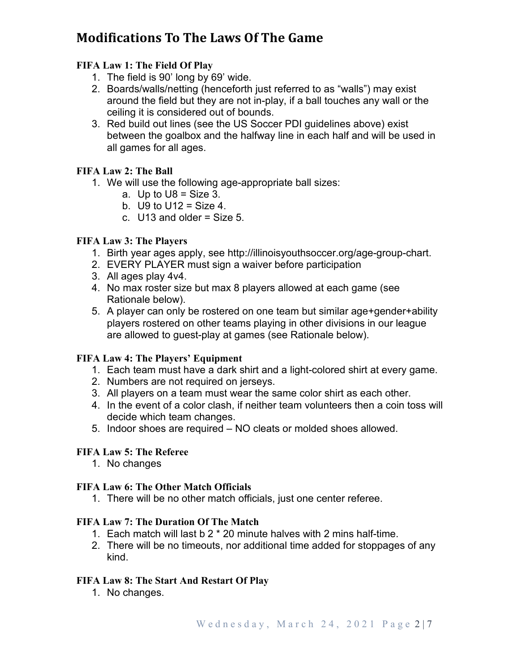# **Modifications To The Laws Of The Game**

# **FIFA Law 1: The Field Of Play**

- 1. The field is 90' long by 69' wide.
- 2. Boards/walls/netting (henceforth just referred to as "walls") may exist around the field but they are not in-play, if a ball touches any wall or the ceiling it is considered out of bounds.
- 3. Red build out lines (see the US Soccer PDI guidelines above) exist between the goalbox and the halfway line in each half and will be used in all games for all ages.

# **FIFA Law 2: The Ball**

- 1. We will use the following age-appropriate ball sizes:
	- a. Up to  $U8 = \text{Size } 3$ .
	- b.  $U9$  to  $U12 = Size 4$ .
	- c.  $U13$  and older = Size 5.

### **FIFA Law 3: The Players**

- 1. Birth year ages apply, see http://illinoisyouthsoccer.org/age-group-chart.
- 2. EVERY PLAYER must sign a waiver before participation
- 3. All ages play 4v4.
- 4. No max roster size but max 8 players allowed at each game (see Rationale below).
- 5. A player can only be rostered on one team but similar age+gender+ability players rostered on other teams playing in other divisions in our league are allowed to guest-play at games (see Rationale below).

### **FIFA Law 4: The Players' Equipment**

- 1. Each team must have a dark shirt and a light-colored shirt at every game.
- 2. Numbers are not required on jerseys.
- 3. All players on a team must wear the same color shirt as each other.
- 4. In the event of a color clash, if neither team volunteers then a coin toss will decide which team changes.
- 5. Indoor shoes are required NO cleats or molded shoes allowed.

# **FIFA Law 5: The Referee**

1. No changes

### **FIFA Law 6: The Other Match Officials**

1. There will be no other match officials, just one center referee.

### **FIFA Law 7: The Duration Of The Match**

- 1. Each match will last b 2 \* 20 minute halves with 2 mins half-time.
- 2. There will be no timeouts, nor additional time added for stoppages of any kind.

### **FIFA Law 8: The Start And Restart Of Play**

1. No changes.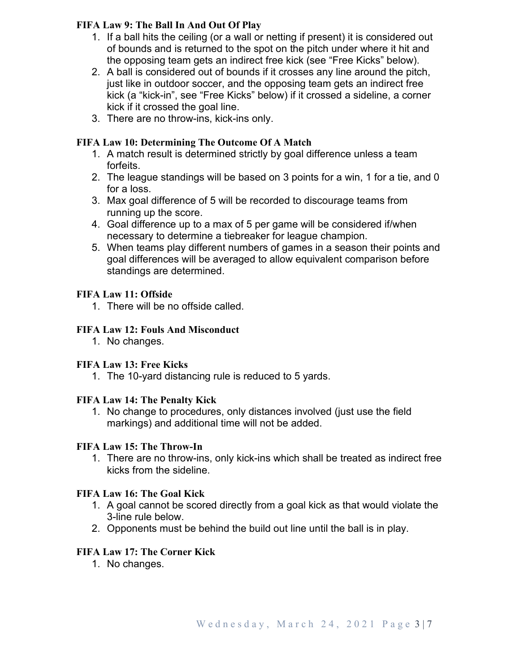# **FIFA Law 9: The Ball In And Out Of Play**

- 1. If a ball hits the ceiling (or a wall or netting if present) it is considered out of bounds and is returned to the spot on the pitch under where it hit and the opposing team gets an indirect free kick (see "Free Kicks" below).
- 2. A ball is considered out of bounds if it crosses any line around the pitch, just like in outdoor soccer, and the opposing team gets an indirect free kick (a "kick-in", see "Free Kicks" below) if it crossed a sideline, a corner kick if it crossed the goal line.
- 3. There are no throw-ins, kick-ins only.

# **FIFA Law 10: Determining The Outcome Of A Match**

- 1. A match result is determined strictly by goal difference unless a team forfeits.
- 2. The league standings will be based on 3 points for a win, 1 for a tie, and 0 for a loss.
- 3. Max goal difference of 5 will be recorded to discourage teams from running up the score.
- 4. Goal difference up to a max of 5 per game will be considered if/when necessary to determine a tiebreaker for league champion.
- 5. When teams play different numbers of games in a season their points and goal differences will be averaged to allow equivalent comparison before standings are determined.

### **FIFA Law 11: Offside**

1. There will be no offside called.

# **FIFA Law 12: Fouls And Misconduct**

1. No changes.

### **FIFA Law 13: Free Kicks**

1. The 10-yard distancing rule is reduced to 5 yards.

### **FIFA Law 14: The Penalty Kick**

1. No change to procedures, only distances involved (just use the field markings) and additional time will not be added.

### **FIFA Law 15: The Throw-In**

1. There are no throw-ins, only kick-ins which shall be treated as indirect free kicks from the sideline.

### **FIFA Law 16: The Goal Kick**

- 1. A goal cannot be scored directly from a goal kick as that would violate the 3-line rule below.
- 2. Opponents must be behind the build out line until the ball is in play.

# **FIFA Law 17: The Corner Kick**

1. No changes.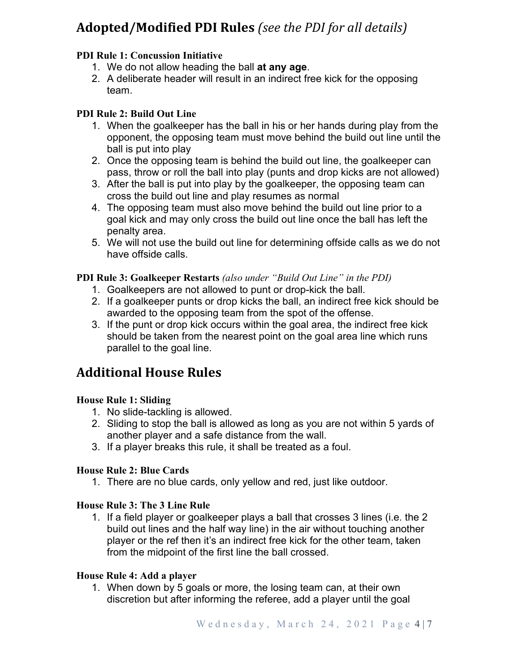# **Adopted/Modified PDI Rules** *(see the PDI for all details)*

# **PDI Rule 1: Concussion Initiative**

- 1. We do not allow heading the ball **at any age**.
- 2. A deliberate header will result in an indirect free kick for the opposing team.

# **PDI Rule 2: Build Out Line**

- 1. When the goalkeeper has the ball in his or her hands during play from the opponent, the opposing team must move behind the build out line until the ball is put into play
- 2. Once the opposing team is behind the build out line, the goalkeeper can pass, throw or roll the ball into play (punts and drop kicks are not allowed)
- 3. After the ball is put into play by the goalkeeper, the opposing team can cross the build out line and play resumes as normal
- 4. The opposing team must also move behind the build out line prior to a goal kick and may only cross the build out line once the ball has left the penalty area.
- 5. We will not use the build out line for determining offside calls as we do not have offside calls.

### **PDI Rule 3: Goalkeeper Restarts** *(also under "Build Out Line" in the PDI)*

- 1. Goalkeepers are not allowed to punt or drop-kick the ball.
- 2. If a goalkeeper punts or drop kicks the ball, an indirect free kick should be awarded to the opposing team from the spot of the offense.
- 3. If the punt or drop kick occurs within the goal area, the indirect free kick should be taken from the nearest point on the goal area line which runs parallel to the goal line.

# **Additional House Rules**

# **House Rule 1: Sliding**

- 1. No slide-tackling is allowed.
- 2. Sliding to stop the ball is allowed as long as you are not within 5 yards of another player and a safe distance from the wall.
- 3. If a player breaks this rule, it shall be treated as a foul.

### **House Rule 2: Blue Cards**

1. There are no blue cards, only yellow and red, just like outdoor.

### **House Rule 3: The 3 Line Rule**

1. If a field player or goalkeeper plays a ball that crosses 3 lines (i.e. the 2 build out lines and the half way line) in the air without touching another player or the ref then it's an indirect free kick for the other team, taken from the midpoint of the first line the ball crossed.

### **House Rule 4: Add a player**

1. When down by 5 goals or more, the losing team can, at their own discretion but after informing the referee, add a player until the goal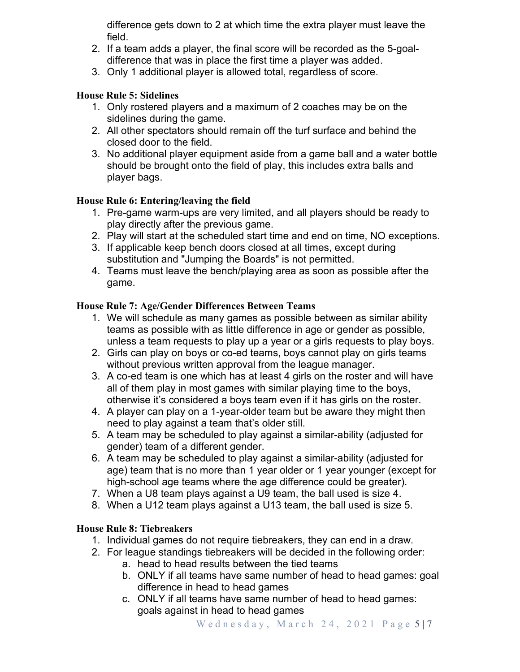difference gets down to 2 at which time the extra player must leave the field.

- 2. If a team adds a player, the final score will be recorded as the 5-goaldifference that was in place the first time a player was added.
- 3. Only 1 additional player is allowed total, regardless of score.

# **House Rule 5: Sidelines**

- 1. Only rostered players and a maximum of 2 coaches may be on the sidelines during the game.
- 2. All other spectators should remain off the turf surface and behind the closed door to the field.
- 3. No additional player equipment aside from a game ball and a water bottle should be brought onto the field of play, this includes extra balls and player bags.

# **House Rule 6: Entering/leaving the field**

- 1. Pre-game warm-ups are very limited, and all players should be ready to play directly after the previous game.
- 2. Play will start at the scheduled start time and end on time, NO exceptions.
- 3. If applicable keep bench doors closed at all times, except during substitution and "Jumping the Boards" is not permitted.
- 4. Teams must leave the bench/playing area as soon as possible after the game.

### **House Rule 7: Age/Gender Differences Between Teams**

- 1. We will schedule as many games as possible between as similar ability teams as possible with as little difference in age or gender as possible, unless a team requests to play up a year or a girls requests to play boys.
- 2. Girls can play on boys or co-ed teams, boys cannot play on girls teams without previous written approval from the league manager.
- 3. A co-ed team is one which has at least 4 girls on the roster and will have all of them play in most games with similar playing time to the boys, otherwise it's considered a boys team even if it has girls on the roster.
- 4. A player can play on a 1-year-older team but be aware they might then need to play against a team that's older still.
- 5. A team may be scheduled to play against a similar-ability (adjusted for gender) team of a different gender.
- 6. A team may be scheduled to play against a similar-ability (adjusted for age) team that is no more than 1 year older or 1 year younger (except for high-school age teams where the age difference could be greater).
- 7. When a U8 team plays against a U9 team, the ball used is size 4.
- 8. When a U12 team plays against a U13 team, the ball used is size 5.

# **House Rule 8: Tiebreakers**

- 1. Individual games do not require tiebreakers, they can end in a draw.
- 2. For league standings tiebreakers will be decided in the following order:
	- a. head to head results between the tied teams
	- b. ONLY if all teams have same number of head to head games: goal difference in head to head games
	- c. ONLY if all teams have same number of head to head games: goals against in head to head games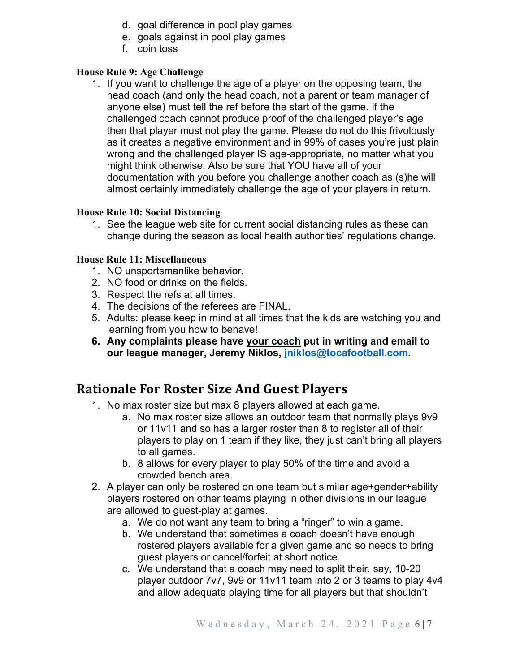- d. goal difference in pool play games
- e. goals against in pool play games
- f. coin toss

# **House Rule 9: Age Challenge**

1. If you want to challenge the age of a player on the opposing team, the head coach (and only the head coach, not a parent or team manager of anyone else) must tell the ref before the start of the game. If the challenged coach cannot produce proof of the challenged player's age then that player must not play the game. Please do not do this frivolously as it creates a negative environment and in 99% of cases you're just plain wrong and the challenged player IS age-appropriate, no matter what you might think otherwise. Also be sure that YOU have all of your documentation with you before you challenge another coach as (s)he will almost certainly immediately challenge the age of your players in return.

### **House Rule 10: Social Distancing**

1. See the league web site for current social distancing rules as these can change during the season as local health authorities' regulations change.

### **House Rule 11: Miscellaneous**

- 1. NO unsportsmanlike behavior.
- 2. NO food or drinks on the fields.
- 3. Respect the refs at all times.
- 4. The decisions of the referees are FINAL.
- 5. Adults: please keep in mind at all times that the kids are watching you and learning from you how to behave!
- **6. Any complaints please have your coach put in writing and email to our league manager, Jeremy Niklos, jniklos@tocafootball.com.**

# **Rationale For Roster Size And Guest Players**

- 1. No max roster size but max 8 players allowed at each game.
	- a. No max roster size allows an outdoor team that normally plays 9v9 or 11v11 and so has a larger roster than 8 to register all of their players to play on 1 team if they like, they just can't bring all players to all games.
	- b. 8 allows for every player to play 50% of the time and avoid a crowded bench area.
- 2. A player can only be rostered on one team but similar age+gender+ability players rostered on other teams playing in other divisions in our league are allowed to guest-play at games.
	- a. We do not want any team to bring a "ringer" to win a game.
	- b. We understand that sometimes a coach doesn't have enough rostered players available for a given game and so needs to bring guest players or cancel/forfeit at short notice.
	- c. We understand that a coach may need to split their, say, 10-20 player outdoor 7v7, 9v9 or 11v11 team into 2 or 3 teams to play 4v4 and allow adequate playing time for all players but that shouldn't